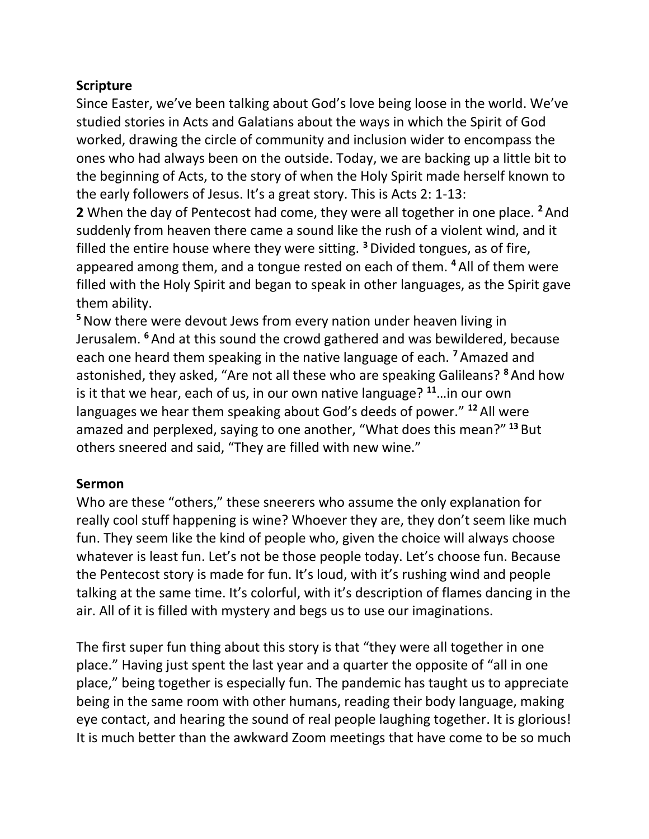## **Scripture**

Since Easter, we've been talking about God's love being loose in the world. We've studied stories in Acts and Galatians about the ways in which the Spirit of God worked, drawing the circle of community and inclusion wider to encompass the ones who had always been on the outside. Today, we are backing up a little bit to the beginning of Acts, to the story of when the Holy Spirit made herself known to the early followers of Jesus. It's a great story. This is Acts 2: 1-13:

**2** When the day of Pentecost had come, they were all together in one place. **<sup>2</sup>** And suddenly from heaven there came a sound like the rush of a violent wind, and it filled the entire house where they were sitting. **<sup>3</sup>**Divided tongues, as of fire, appeared among them, and a tongue rested on each of them. **<sup>4</sup>** All of them were filled with the Holy Spirit and began to speak in other languages, as the Spirit gave them ability.

**<sup>5</sup>**Now there were devout Jews from every nation under heaven living in Jerusalem. **<sup>6</sup>** And at this sound the crowd gathered and was bewildered, because each one heard them speaking in the native language of each. **<sup>7</sup>** Amazed and astonished, they asked, "Are not all these who are speaking Galileans? **<sup>8</sup>** And how is it that we hear, each of us, in our own native language? **<sup>11</sup>**…in our own languages we hear them speaking about God's deeds of power." **<sup>12</sup>** All were amazed and perplexed, saying to one another, "What does this mean?" **<sup>13</sup>** But others sneered and said, "They are filled with new wine."

## **Sermon**

Who are these "others," these sneerers who assume the only explanation for really cool stuff happening is wine? Whoever they are, they don't seem like much fun. They seem like the kind of people who, given the choice will always choose whatever is least fun. Let's not be those people today. Let's choose fun. Because the Pentecost story is made for fun. It's loud, with it's rushing wind and people talking at the same time. It's colorful, with it's description of flames dancing in the air. All of it is filled with mystery and begs us to use our imaginations.

The first super fun thing about this story is that "they were all together in one place." Having just spent the last year and a quarter the opposite of "all in one place," being together is especially fun. The pandemic has taught us to appreciate being in the same room with other humans, reading their body language, making eye contact, and hearing the sound of real people laughing together. It is glorious! It is much better than the awkward Zoom meetings that have come to be so much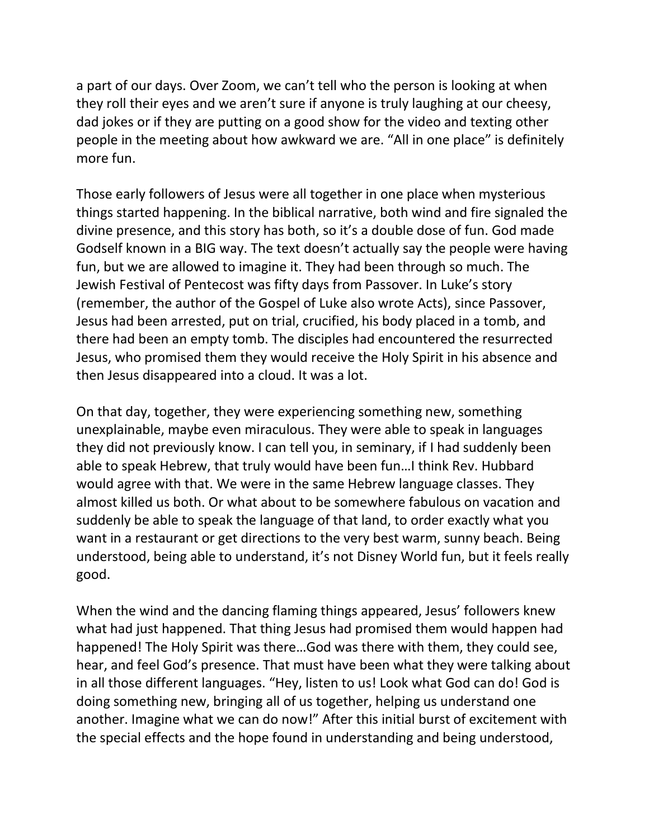a part of our days. Over Zoom, we can't tell who the person is looking at when they roll their eyes and we aren't sure if anyone is truly laughing at our cheesy, dad jokes or if they are putting on a good show for the video and texting other people in the meeting about how awkward we are. "All in one place" is definitely more fun.

Those early followers of Jesus were all together in one place when mysterious things started happening. In the biblical narrative, both wind and fire signaled the divine presence, and this story has both, so it's a double dose of fun. God made Godself known in a BIG way. The text doesn't actually say the people were having fun, but we are allowed to imagine it. They had been through so much. The Jewish Festival of Pentecost was fifty days from Passover. In Luke's story (remember, the author of the Gospel of Luke also wrote Acts), since Passover, Jesus had been arrested, put on trial, crucified, his body placed in a tomb, and there had been an empty tomb. The disciples had encountered the resurrected Jesus, who promised them they would receive the Holy Spirit in his absence and then Jesus disappeared into a cloud. It was a lot.

On that day, together, they were experiencing something new, something unexplainable, maybe even miraculous. They were able to speak in languages they did not previously know. I can tell you, in seminary, if I had suddenly been able to speak Hebrew, that truly would have been fun…I think Rev. Hubbard would agree with that. We were in the same Hebrew language classes. They almost killed us both. Or what about to be somewhere fabulous on vacation and suddenly be able to speak the language of that land, to order exactly what you want in a restaurant or get directions to the very best warm, sunny beach. Being understood, being able to understand, it's not Disney World fun, but it feels really good.

When the wind and the dancing flaming things appeared, Jesus' followers knew what had just happened. That thing Jesus had promised them would happen had happened! The Holy Spirit was there…God was there with them, they could see, hear, and feel God's presence. That must have been what they were talking about in all those different languages. "Hey, listen to us! Look what God can do! God is doing something new, bringing all of us together, helping us understand one another. Imagine what we can do now!" After this initial burst of excitement with the special effects and the hope found in understanding and being understood,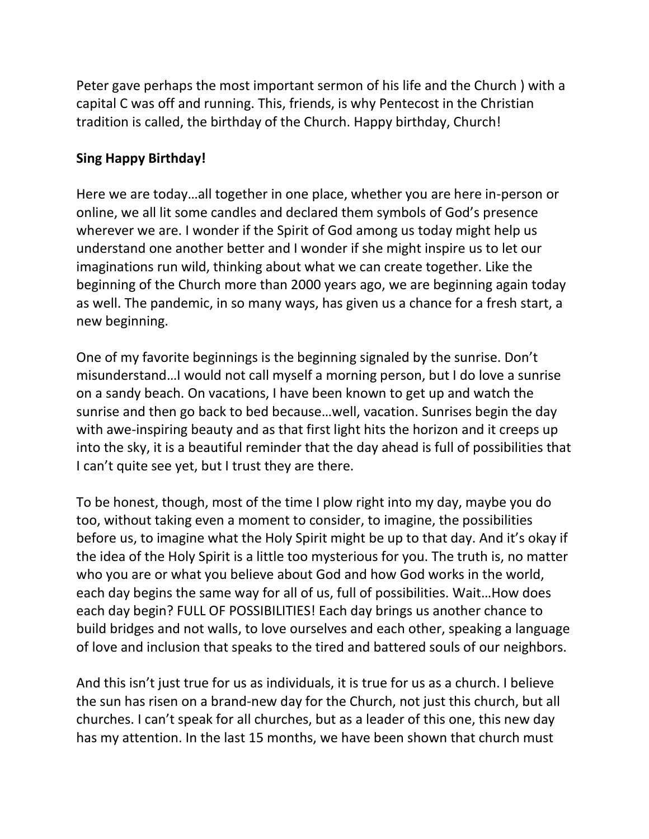Peter gave perhaps the most important sermon of his life and the Church ) with a capital C was off and running. This, friends, is why Pentecost in the Christian tradition is called, the birthday of the Church. Happy birthday, Church!

## **Sing Happy Birthday!**

Here we are today…all together in one place, whether you are here in-person or online, we all lit some candles and declared them symbols of God's presence wherever we are. I wonder if the Spirit of God among us today might help us understand one another better and I wonder if she might inspire us to let our imaginations run wild, thinking about what we can create together. Like the beginning of the Church more than 2000 years ago, we are beginning again today as well. The pandemic, in so many ways, has given us a chance for a fresh start, a new beginning.

One of my favorite beginnings is the beginning signaled by the sunrise. Don't misunderstand…I would not call myself a morning person, but I do love a sunrise on a sandy beach. On vacations, I have been known to get up and watch the sunrise and then go back to bed because…well, vacation. Sunrises begin the day with awe-inspiring beauty and as that first light hits the horizon and it creeps up into the sky, it is a beautiful reminder that the day ahead is full of possibilities that I can't quite see yet, but I trust they are there.

To be honest, though, most of the time I plow right into my day, maybe you do too, without taking even a moment to consider, to imagine, the possibilities before us, to imagine what the Holy Spirit might be up to that day. And it's okay if the idea of the Holy Spirit is a little too mysterious for you. The truth is, no matter who you are or what you believe about God and how God works in the world, each day begins the same way for all of us, full of possibilities. Wait…How does each day begin? FULL OF POSSIBILITIES! Each day brings us another chance to build bridges and not walls, to love ourselves and each other, speaking a language of love and inclusion that speaks to the tired and battered souls of our neighbors.

And this isn't just true for us as individuals, it is true for us as a church. I believe the sun has risen on a brand-new day for the Church, not just this church, but all churches. I can't speak for all churches, but as a leader of this one, this new day has my attention. In the last 15 months, we have been shown that church must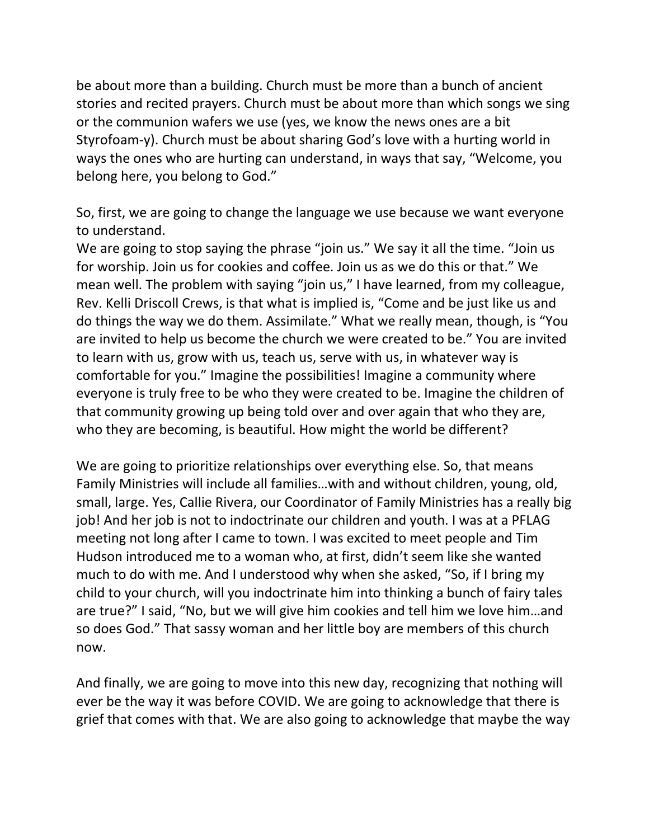be about more than a building. Church must be more than a bunch of ancient stories and recited prayers. Church must be about more than which songs we sing or the communion wafers we use (yes, we know the news ones are a bit Styrofoam-y). Church must be about sharing God's love with a hurting world in ways the ones who are hurting can understand, in ways that say, "Welcome, you belong here, you belong to God."

So, first, we are going to change the language we use because we want everyone to understand.

We are going to stop saying the phrase "join us." We say it all the time. "Join us for worship. Join us for cookies and coffee. Join us as we do this or that." We mean well. The problem with saying "join us," I have learned, from my colleague, Rev. Kelli Driscoll Crews, is that what is implied is, "Come and be just like us and do things the way we do them. Assimilate." What we really mean, though, is "You are invited to help us become the church we were created to be." You are invited to learn with us, grow with us, teach us, serve with us, in whatever way is comfortable for you." Imagine the possibilities! Imagine a community where everyone is truly free to be who they were created to be. Imagine the children of that community growing up being told over and over again that who they are, who they are becoming, is beautiful. How might the world be different?

We are going to prioritize relationships over everything else. So, that means Family Ministries will include all families…with and without children, young, old, small, large. Yes, Callie Rivera, our Coordinator of Family Ministries has a really big job! And her job is not to indoctrinate our children and youth. I was at a PFLAG meeting not long after I came to town. I was excited to meet people and Tim Hudson introduced me to a woman who, at first, didn't seem like she wanted much to do with me. And I understood why when she asked, "So, if I bring my child to your church, will you indoctrinate him into thinking a bunch of fairy tales are true?" I said, "No, but we will give him cookies and tell him we love him…and so does God." That sassy woman and her little boy are members of this church now.

And finally, we are going to move into this new day, recognizing that nothing will ever be the way it was before COVID. We are going to acknowledge that there is grief that comes with that. We are also going to acknowledge that maybe the way